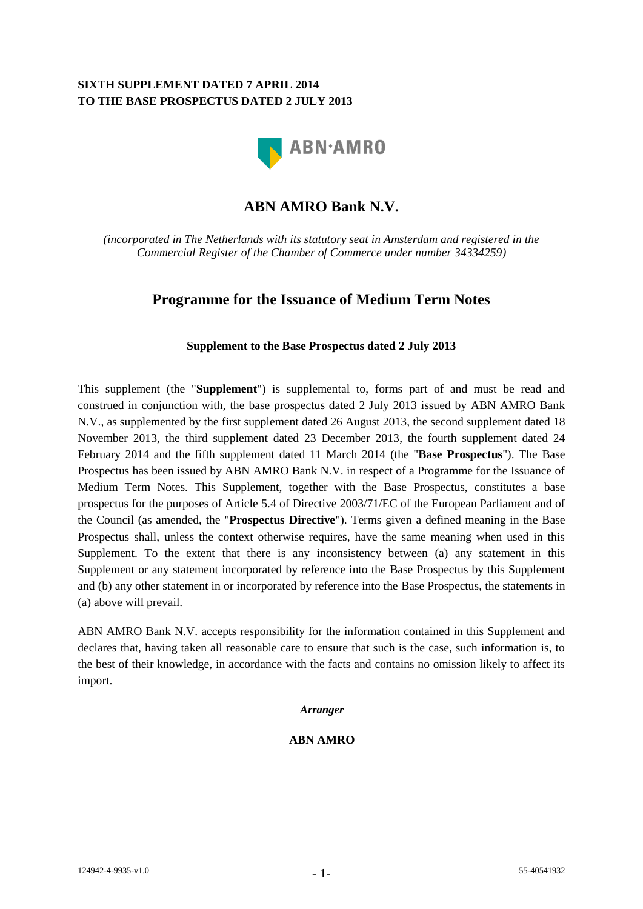## **SIXTH SUPPLEMENT DATED 7 APRIL 2014 TO THE BASE PROSPECTUS DATED 2 JULY 2013**



# **ABN AMRO Bank N.V.**

*(incorporated in The Netherlands with its statutory seat in Amsterdam and registered in the Commercial Register of the Chamber of Commerce under number 34334259)*

## **Programme for the Issuance of Medium Term Notes**

### **Supplement to the Base Prospectus dated 2 July 2013**

This supplement (the "**Supplement**") is supplemental to, forms part of and must be read and construed in conjunction with, the base prospectus dated 2 July 2013 issued by ABN AMRO Bank N.V., as supplemented by the first supplement dated 26 August 2013, the second supplement dated 18 November 2013, the third supplement dated 23 December 2013, the fourth supplement dated 24 February 2014 and the fifth supplement dated 11 March 2014 (the "**Base Prospectus**"). The Base Prospectus has been issued by ABN AMRO Bank N.V. in respect of a Programme for the Issuance of Medium Term Notes. This Supplement, together with the Base Prospectus, constitutes a base prospectus for the purposes of Article 5.4 of Directive 2003/71/EC of the European Parliament and of the Council (as amended, the "**Prospectus Directive**"). Terms given a defined meaning in the Base Prospectus shall, unless the context otherwise requires, have the same meaning when used in this Supplement. To the extent that there is any inconsistency between (a) any statement in this Supplement or any statement incorporated by reference into the Base Prospectus by this Supplement and (b) any other statement in or incorporated by reference into the Base Prospectus, the statements in (a) above will prevail.

ABN AMRO Bank N.V. accepts responsibility for the information contained in this Supplement and declares that, having taken all reasonable care to ensure that such is the case, such information is, to the best of their knowledge, in accordance with the facts and contains no omission likely to affect its import.

#### *Arranger*

#### **ABN AMRO**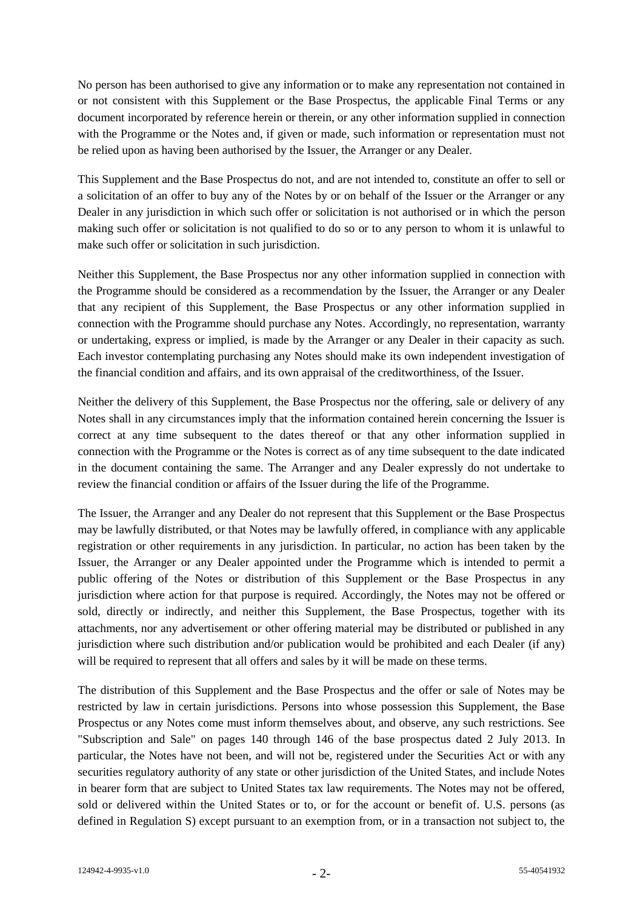No person has been authorised to give any information or to make any representation not contained in or not consistent with this Supplement or the Base Prospectus, the applicable Final Terms or any document incorporated by reference herein or therein, or any other information supplied in connection with the Programme or the Notes and, if given or made, such information or representation must not be relied upon as having been authorised by the Issuer, the Arranger or any Dealer.

This Supplement and the Base Prospectus do not, and are not intended to, constitute an offer to sell or a solicitation of an offer to buy any of the Notes by or on behalf of the Issuer or the Arranger or any Dealer in any jurisdiction in which such offer or solicitation is not authorised or in which the person making such offer or solicitation is not qualified to do so or to any person to whom it is unlawful to make such offer or solicitation in such jurisdiction.

Neither this Supplement, the Base Prospectus nor any other information supplied in connection with the Programme should be considered as a recommendation by the Issuer, the Arranger or any Dealer that any recipient of this Supplement, the Base Prospectus or any other information supplied in connection with the Programme should purchase any Notes. Accordingly, no representation, warranty or undertaking, express or implied, is made by the Arranger or any Dealer in their capacity as such. Each investor contemplating purchasing any Notes should make its own independent investigation of the financial condition and affairs, and its own appraisal of the creditworthiness, of the Issuer.

Neither the delivery of this Supplement, the Base Prospectus nor the offering, sale or delivery of any Notes shall in any circumstances imply that the information contained herein concerning the Issuer is correct at any time subsequent to the dates thereof or that any other information supplied in connection with the Programme or the Notes is correct as of any time subsequent to the date indicated in the document containing the same. The Arranger and any Dealer expressly do not undertake to review the financial condition or affairs of the Issuer during the life of the Programme.

The Issuer, the Arranger and any Dealer do not represent that this Supplement or the Base Prospectus may be lawfully distributed, or that Notes may be lawfully offered, in compliance with any applicable registration or other requirements in any jurisdiction. In particular, no action has been taken by the Issuer, the Arranger or any Dealer appointed under the Programme which is intended to permit a public offering of the Notes or distribution of this Supplement or the Base Prospectus in any jurisdiction where action for that purpose is required. Accordingly, the Notes may not be offered or sold, directly or indirectly, and neither this Supplement, the Base Prospectus, together with its attachments, nor any advertisement or other offering material may be distributed or published in any jurisdiction where such distribution and/or publication would be prohibited and each Dealer (if any) will be required to represent that all offers and sales by it will be made on these terms.

The distribution of this Supplement and the Base Prospectus and the offer or sale of Notes may be restricted by law in certain jurisdictions. Persons into whose possession this Supplement, the Base Prospectus or any Notes come must inform themselves about, and observe, any such restrictions. See "Subscription and Sale" on pages 140 through 146 of the base prospectus dated 2 July 2013. In particular, the Notes have not been, and will not be, registered under the Securities Act or with any securities regulatory authority of any state or other jurisdiction of the United States, and include Notes in bearer form that are subject to United States tax law requirements. The Notes may not be offered, sold or delivered within the United States or to, or for the account or benefit of. U.S. persons (as defined in Regulation S) except pursuant to an exemption from, or in a transaction not subject to, the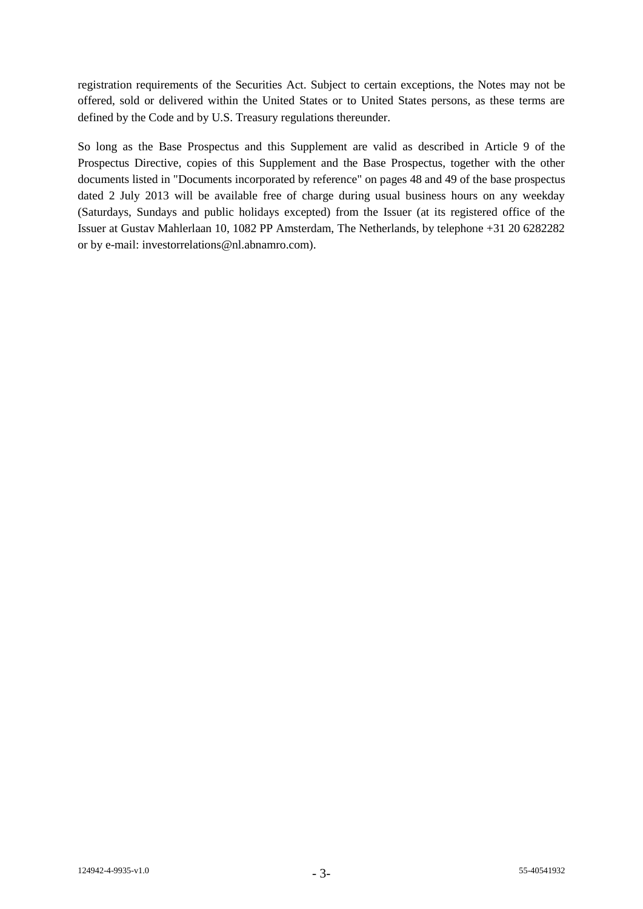registration requirements of the Securities Act. Subject to certain exceptions, the Notes may not be offered, sold or delivered within the United States or to United States persons, as these terms are defined by the Code and by U.S. Treasury regulations thereunder.

So long as the Base Prospectus and this Supplement are valid as described in Article 9 of the Prospectus Directive, copies of this Supplement and the Base Prospectus, together with the other documents listed in "Documents incorporated by reference" on pages 48 and 49 of the base prospectus dated 2 July 2013 will be available free of charge during usual business hours on any weekday (Saturdays, Sundays and public holidays excepted) from the Issuer (at its registered office of the Issuer at Gustav Mahlerlaan 10, 1082 PP Amsterdam, The Netherlands, by telephone +31 20 6282282 or by e-mail: investorrelations@nl.abnamro.com).